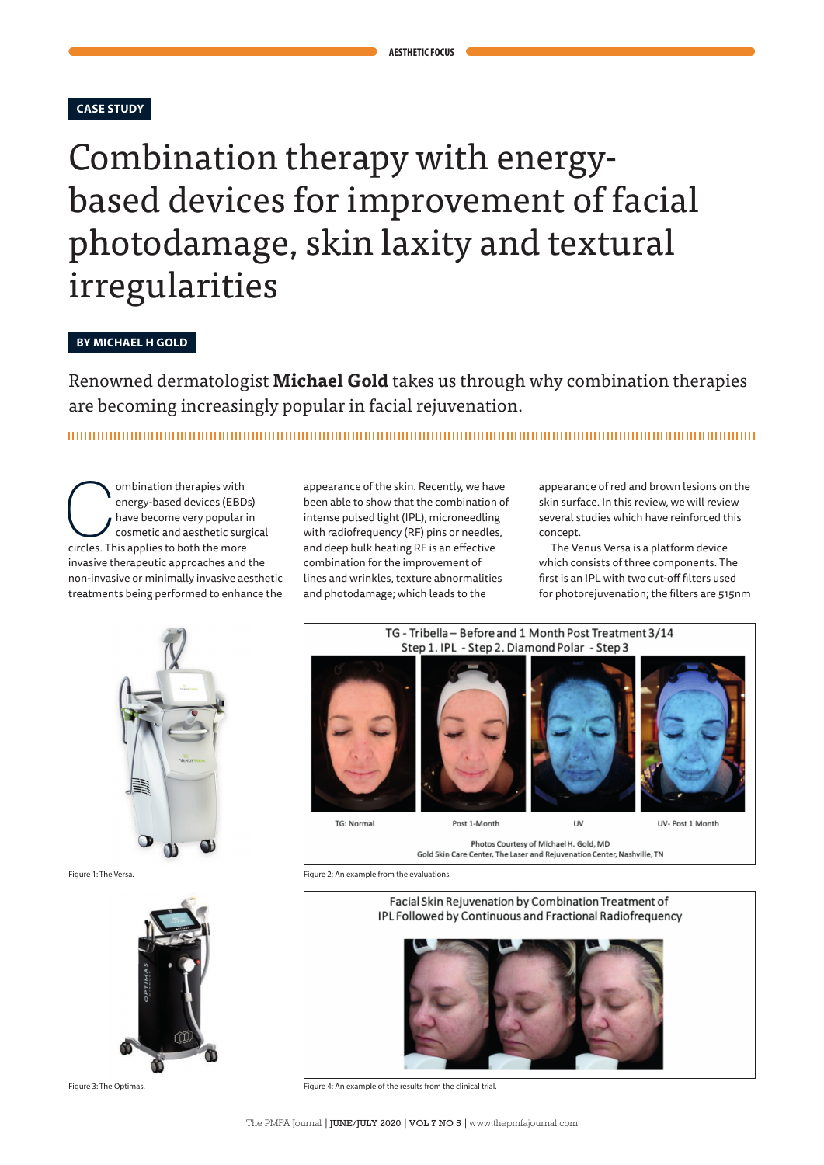# **CASE STUDY**

# Combination therapy with energybased devices for improvement of facial photodamage, skin laxity and textural irregularities

# **BY MICHAEL H GOLD**

Renowned dermatologist **Michael Gold** takes us through why combination therapies are becoming increasingly popular in facial rejuvenation.

**Combination therapies with<br>
energy-based devices (EBD)**<br>
have become very popular in<br>
cosmetic and aesthetic surg<br>
circles. This applies to both the more energy-based devices (EBDs) have become very popular in cosmetic and aesthetic surgical invasive therapeutic approaches and the non-invasive or minimally invasive aesthetic treatments being performed to enhance the

appearance of the skin. Recently, we have been able to show that the combination of intense pulsed light (IPL), microneedling with radiofrequency (RF) pins or needles, and deep bulk heating RF is an effective combination for the improvement of lines and wrinkles, texture abnormalities and photodamage; which leads to the

appearance of red and brown lesions on the skin surface. In this review, we will review several studies which have reinforced this concept.

The Venus Versa is a platform device which consists of three components. The first is an IPL with two cut-off filters used for photorejuvenation; the filters are 515nm







Figure 1: The Versa. Figure 2: An example from the evaluations.



Figure 3: The Optimas. Figure 4: An example of the results from the clinical trial.